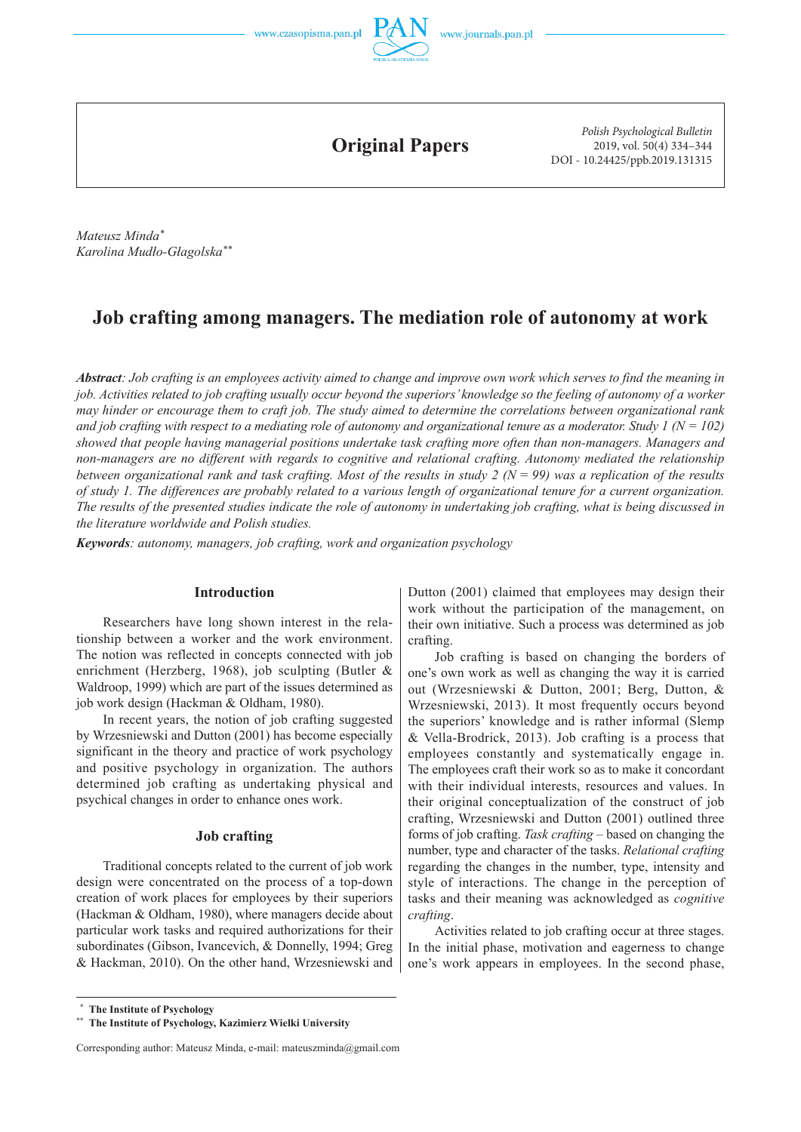



**Original Papers**

*Polish Psychological Bulletin* 2019, vol. 50(4) 334–344 DOI - 10.24425/ppb.2019.131315

*Mateusz Minda\* Karolina Mudło-Głagolska\*\**

# **Job crafting among managers. The mediation role of autonomy at work**

*Abstract: Job crafting is an employees activity aimed to change and improve own work which serves to find the meaning in job. Activities related to job crafting usually occur beyond the superiors' knowledge so the feeling of autonomy of a worker may hinder or encourage them to craft job. The study aimed to determine the correlations between organizational rank*  and job crafting with respect to a mediating role of autonomy and organizational tenure as a moderator. Study  $1 (N = 102)$ *showed that people having managerial positions undertake task crafting more often than non-managers. Managers and non-managers are no different with regards to cognitive and relational crafting. Autonomy mediated the relationship between organizational rank and task crafting. Most of the results in study 2 (N = 99) was a replication of the results of study 1. The differences are probably related to a various length of organizational tenure for a current organization. The results of the presented studies indicate the role of autonomy in undertaking job crafting, what is being discussed in the literature worldwide and Polish studies.*

*Keywords: autonomy, managers, job crafting, work and organization psychology*

### **Introduction**

Researchers have long shown interest in the relationship between a worker and the work environment. The notion was reflected in concepts connected with job enrichment (Herzberg, 1968), job sculpting (Butler & Waldroop, 1999) which are part of the issues determined as job work design (Hackman & Oldham, 1980).

In recent years, the notion of job crafting suggested by Wrzesniewski and Dutton (2001) has become especially significant in the theory and practice of work psychology and positive psychology in organization. The authors determined job crafting as undertaking physical and psychical changes in order to enhance ones work.

### **Job crafting**

Traditional concepts related to the current of job work design were concentrated on the process of a top-down creation of work places for employees by their superiors (Hackman & Oldham, 1980), where managers decide about particular work tasks and required authorizations for their subordinates (Gibson, Ivancevich, & Donnelly, 1994; Greg & Hackman, 2010). On the other hand, Wrzesniewski and Dutton (2001) claimed that employees may design their work without the participation of the management, on their own initiative. Such a process was determined as job crafting.

Job crafting is based on changing the borders of one's own work as well as changing the way it is carried out (Wrzesniewski & Dutton, 2001; Berg, Dutton, & Wrzesniewski, 2013). It most frequently occurs beyond the superiors' knowledge and is rather informal (Slemp & Vella-Brodrick, 2013). Job crafting is a process that employees constantly and systematically engage in. The employees craft their work so as to make it concordant with their individual interests, resources and values. In their original conceptualization of the construct of job crafting, Wrzesniewski and Dutton (2001) outlined three forms of job crafting. *Task crafting* – based on changing the number, type and character of the tasks. *Relational crafting* regarding the changes in the number, type, intensity and style of interactions. The change in the perception of tasks and their meaning was acknowledged as *cognitive crafting*.

Activities related to job crafting occur at three stages. In the initial phase, motivation and eagerness to change one's work appears in employees. In the second phase,

 **<sup>\*</sup> The Institute of Psychology**

**<sup>\*\*</sup> The Institute of Psychology, Kazimierz Wielki University**

Corresponding author: Mateusz Minda, e-mail: mateuszminda@gmail.com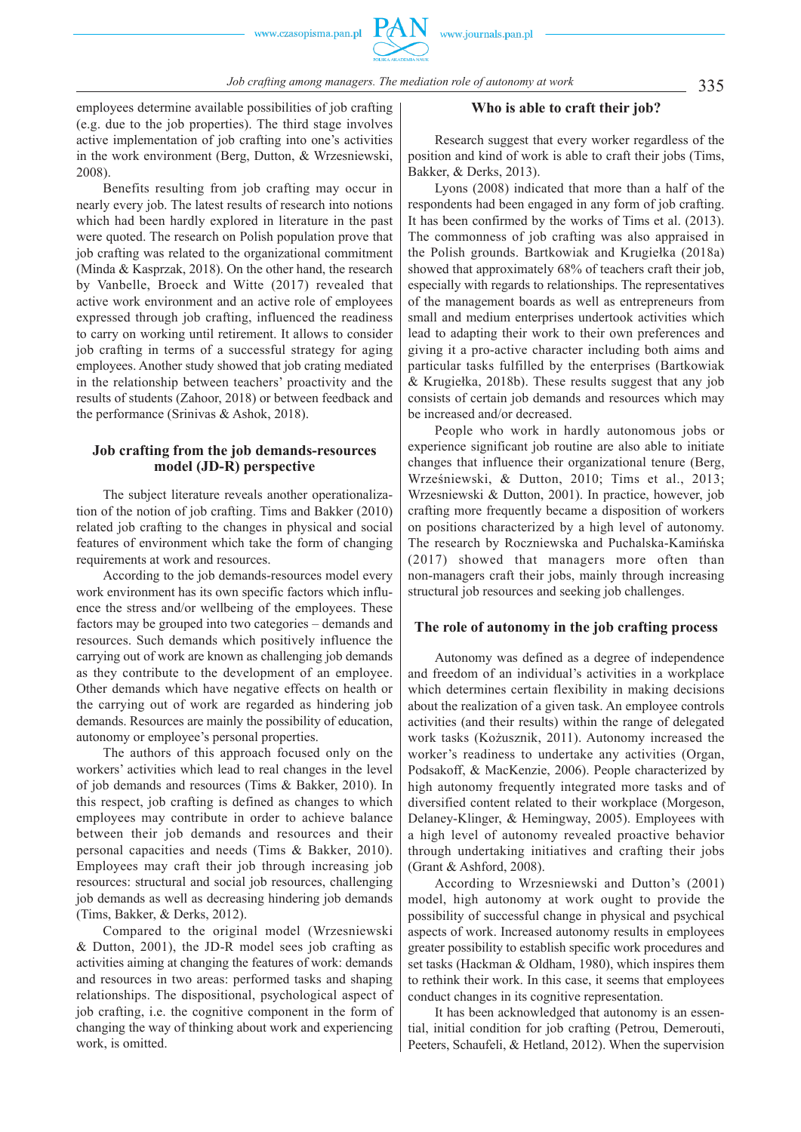

335 *Job crafting among managers. The mediation role of autonomy at work*

employees determine available possibilities of job crafting (e.g. due to the job properties). The third stage involves active implementation of job crafting into one's activities in the work environment (Berg, Dutton, & Wrzesniewski, 2008).

Benefits resulting from job crafting may occur in nearly every job. The latest results of research into notions which had been hardly explored in literature in the past were quoted. The research on Polish population prove that job crafting was related to the organizational commitment (Minda & Kasprzak, 2018). On the other hand, the research by Vanbelle, Broeck and Witte (2017) revealed that active work environment and an active role of employees expressed through job crafting, influenced the readiness to carry on working until retirement. It allows to consider job crafting in terms of a successful strategy for aging employees. Another study showed that job crating mediated in the relationship between teachers' proactivity and the results of students (Zahoor, 2018) or between feedback and the performance (Srinivas & Ashok, 2018).

### **Job crafting from the job demands-resources model (JD-R) perspective**

The subject literature reveals another operationalization of the notion of job crafting. Tims and Bakker (2010) related job crafting to the changes in physical and social features of environment which take the form of changing requirements at work and resources.

According to the job demands-resources model every work environment has its own specific factors which influence the stress and/or wellbeing of the employees. These factors may be grouped into two categories – demands and resources. Such demands which positively influence the carrying out of work are known as challenging job demands as they contribute to the development of an employee. Other demands which have negative effects on health or the carrying out of work are regarded as hindering job demands. Resources are mainly the possibility of education, autonomy or employee's personal properties.

The authors of this approach focused only on the workers' activities which lead to real changes in the level of job demands and resources (Tims & Bakker, 2010). In this respect, job crafting is defined as changes to which employees may contribute in order to achieve balance between their job demands and resources and their personal capacities and needs (Tims & Bakker, 2010). Employees may craft their job through increasing job resources: structural and social job resources, challenging job demands as well as decreasing hindering job demands (Tims, Bakker, & Derks, 2012).

Compared to the original model (Wrzesniewski & Dutton, 2001), the JD-R model sees job crafting as activities aiming at changing the features of work: demands and resources in two areas: performed tasks and shaping relationships. The dispositional, psychological aspect of job crafting, i.e. the cognitive component in the form of changing the way of thinking about work and experiencing work, is omitted.

### **Who is able to craft their job?**

Research suggest that every worker regardless of the position and kind of work is able to craft their jobs (Tims, Bakker, & Derks, 2013).

Lyons (2008) indicated that more than a half of the respondents had been engaged in any form of job crafting. It has been confirmed by the works of Tims et al. (2013). The commonness of job crafting was also appraised in the Polish grounds. Bartkowiak and Krugiełka (2018a) showed that approximately 68% of teachers craft their job, especially with regards to relationships. The representatives of the management boards as well as entrepreneurs from small and medium enterprises undertook activities which lead to adapting their work to their own preferences and giving it a pro-active character including both aims and particular tasks fulfilled by the enterprises (Bartkowiak & Krugiełka, 2018b). These results suggest that any job consists of certain job demands and resources which may be increased and/or decreased.

People who work in hardly autonomous jobs or experience significant job routine are also able to initiate changes that influence their organizational tenure (Berg, Wrześniewski, & Dutton, 2010; Tims et al., 2013; Wrzesniewski & Dutton, 2001). In practice, however, job crafting more frequently became a disposition of workers on positions characterized by a high level of autonomy. The research by Roczniewska and Puchalska-Kamińska (2017) showed that managers more often than non-managers craft their jobs, mainly through increasing structural job resources and seeking job challenges.

### **The role of autonomy in the job crafting process**

Autonomy was defined as a degree of independence and freedom of an individual's activities in a workplace which determines certain flexibility in making decisions about the realization of a given task. An employee controls activities (and their results) within the range of delegated work tasks (Kożusznik, 2011). Autonomy increased the worker's readiness to undertake any activities (Organ, Podsakoff, & MacKenzie, 2006). People characterized by high autonomy frequently integrated more tasks and of diversified content related to their workplace (Morgeson, Delaney-Klinger, & Hemingway, 2005). Employees with a high level of autonomy revealed proactive behavior through undertaking initiatives and crafting their jobs (Grant & Ashford, 2008).

According to Wrzesniewski and Dutton's (2001) model, high autonomy at work ought to provide the possibility of successful change in physical and psychical aspects of work. Increased autonomy results in employees greater possibility to establish specific work procedures and set tasks (Hackman & Oldham, 1980), which inspires them to rethink their work. In this case, it seems that employees conduct changes in its cognitive representation.

It has been acknowledged that autonomy is an essential, initial condition for job crafting (Petrou, Demerouti, Peeters, Schaufeli, & Hetland, 2012). When the supervision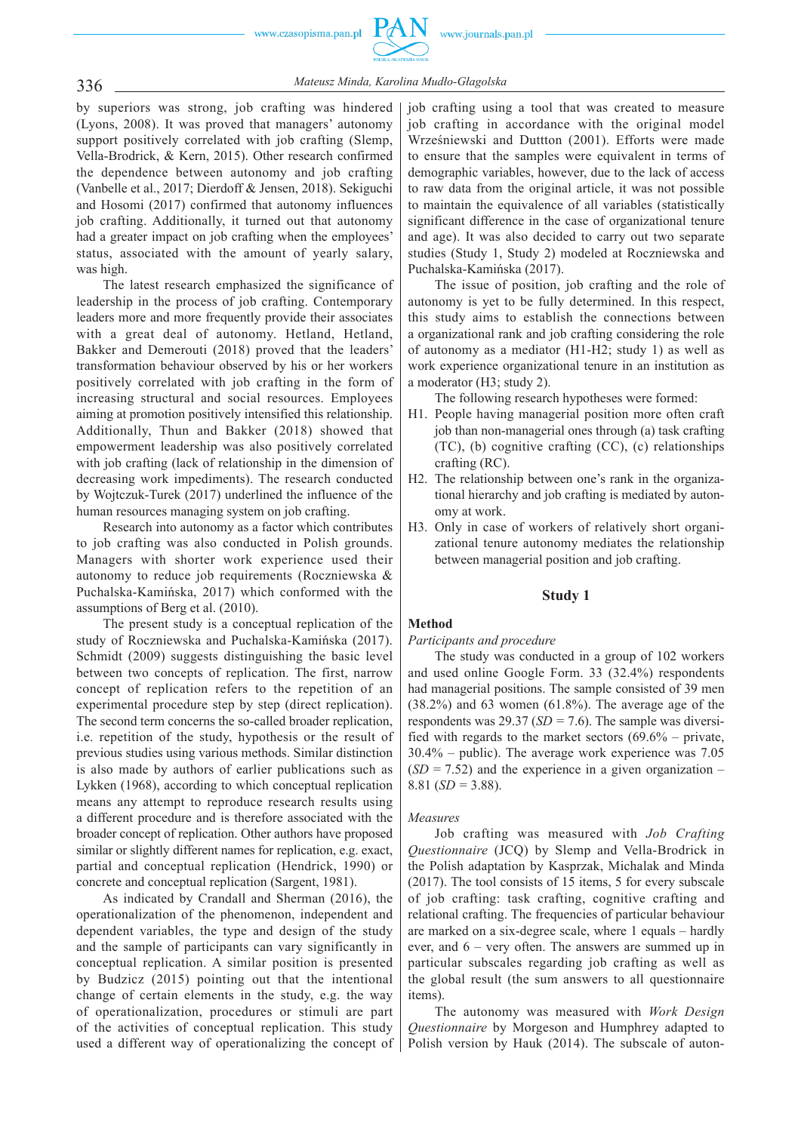

336 *Mateusz Minda, Karolina Mudło-Głagolska*

by superiors was strong, job crafting was hindered (Lyons, 2008). It was proved that managers' autonomy support positively correlated with job crafting (Slemp, Vella-Brodrick, & Kern, 2015). Other research confirmed the dependence between autonomy and job crafting (Vanbelle et al., 2017; Dierdoff & Jensen, 2018). Sekiguchi and Hosomi (2017) confirmed that autonomy influences job crafting. Additionally, it turned out that autonomy had a greater impact on job crafting when the employees' status, associated with the amount of yearly salary, was high.

The latest research emphasized the significance of leadership in the process of job crafting. Contemporary leaders more and more frequently provide their associates with a great deal of autonomy. Hetland, Hetland, Bakker and Demerouti (2018) proved that the leaders' transformation behaviour observed by his or her workers positively correlated with job crafting in the form of increasing structural and social resources. Employees aiming at promotion positively intensified this relationship. Additionally, Thun and Bakker (2018) showed that empowerment leadership was also positively correlated with job crafting (lack of relationship in the dimension of decreasing work impediments). The research conducted by Wojtczuk-Turek (2017) underlined the influence of the human resources managing system on job crafting.

Research into autonomy as a factor which contributes to job crafting was also conducted in Polish grounds. Managers with shorter work experience used their autonomy to reduce job requirements (Roczniewska & Puchalska-Kamińska, 2017) which conformed with the assumptions of Berg et al. (2010).

The present study is a conceptual replication of the study of Roczniewska and Puchalska-Kamińska (2017). Schmidt (2009) suggests distinguishing the basic level between two concepts of replication. The first, narrow concept of replication refers to the repetition of an experimental procedure step by step (direct replication). The second term concerns the so-called broader replication, i.e. repetition of the study, hypothesis or the result of previous studies using various methods. Similar distinction is also made by authors of earlier publications such as Lykken (1968), according to which conceptual replication means any attempt to reproduce research results using a different procedure and is therefore associated with the broader concept of replication. Other authors have proposed similar or slightly different names for replication, e.g. exact, partial and conceptual replication (Hendrick, 1990) or concrete and conceptual replication (Sargent, 1981).

As indicated by Crandall and Sherman (2016), the operationalization of the phenomenon, independent and dependent variables, the type and design of the study and the sample of participants can vary significantly in conceptual replication. A similar position is presented by Budzicz (2015) pointing out that the intentional change of certain elements in the study, e.g. the way of operationalization, procedures or stimuli are part of the activities of conceptual replication. This study used a different way of operationalizing the concept of

job crafting using a tool that was created to measure job crafting in accordance with the original model Wrześniewski and Duttton (2001). Efforts were made to ensure that the samples were equivalent in terms of demographic variables, however, due to the lack of access to raw data from the original article, it was not possible to maintain the equivalence of all variables (statistically significant difference in the case of organizational tenure and age). It was also decided to carry out two separate studies (Study 1, Study 2) modeled at Roczniewska and Puchalska-Kamińska (2017).

The issue of position, job crafting and the role of autonomy is yet to be fully determined. In this respect, this study aims to establish the connections between a organizational rank and job crafting considering the role of autonomy as a mediator (H1-H2; study 1) as well as work experience organizational tenure in an institution as a moderator (H3; study 2).

The following research hypotheses were formed:

- H1. People having managerial position more often craft job than non-managerial ones through (a) task crafting (TC), (b) cognitive crafting (CC), (c) relationships crafting (RC).
- H2. The relationship between one's rank in the organizational hierarchy and job crafting is mediated by autonomy at work.
- H3. Only in case of workers of relatively short organizational tenure autonomy mediates the relationship between managerial position and job crafting.

### **Study 1**

### **Method**

*Participants and procedure*

The study was conducted in a group of 102 workers and used online Google Form. 33 (32.4%) respondents had managerial positions. The sample consisted of 39 men (38.2%) and 63 women (61.8%). The average age of the respondents was 29.37 (*SD =* 7.6). The sample was diversified with regards to the market sectors (69.6% – private, 30.4% – public). The average work experience was 7.05  $(SD = 7.52)$  and the experience in a given organization – 8.81 (*SD =* 3.88).

### *Measures*

Job crafting was measured with *Job Crafting Questionnaire* (JCQ) by Slemp and Vella-Brodrick in the Polish adaptation by Kasprzak, Michalak and Minda (2017). The tool consists of 15 items, 5 for every subscale of job crafting: task crafting, cognitive crafting and relational crafting. The frequencies of particular behaviour are marked on a six-degree scale, where 1 equals – hardly ever, and 6 – very often. The answers are summed up in particular subscales regarding job crafting as well as the global result (the sum answers to all questionnaire items).

The autonomy was measured with *Work Design Question naire* by Morgeson and Humphrey adapted to Polish version by Hauk (2014). The subscale of auton-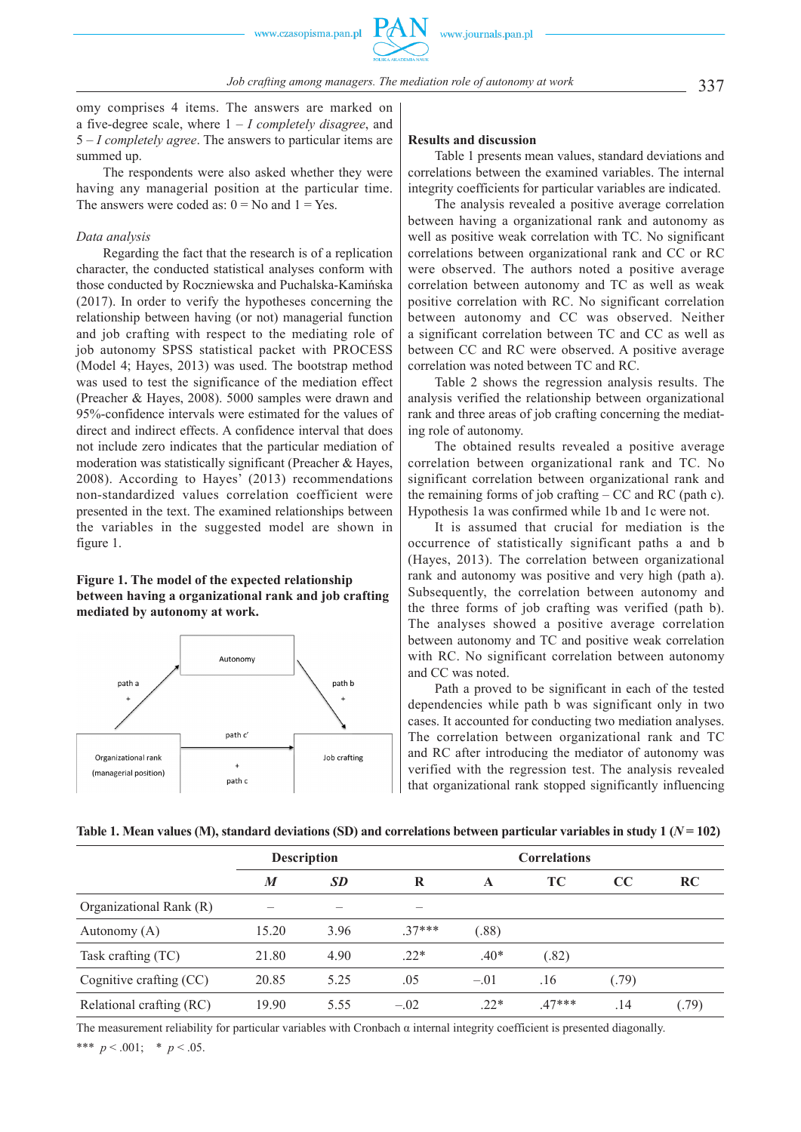omy comprises 4 items. The answers are marked on a five-degree scale, where 1 – *I completely disagree*, and 5 – *I completely agree*. The answers to particular items are summed up.

The respondents were also asked whether they were having any managerial position at the particular time. The answers were coded as:  $0 = No$  and  $1 = Yes$ .

#### *Data analysis*

Regarding the fact that the research is of a replication character, the conducted statistical analyses conform with those conducted by Roczniewska and Puchalska-Kamińska (2017). In order to verify the hypotheses concerning the relationship between having (or not) managerial function and job crafting with respect to the mediating role of job autonomy SPSS statistical packet with PROCESS (Model 4; Hayes, 2013) was used. The bootstrap method was used to test the significance of the mediation effect (Preacher & Hayes, 2008). 5000 samples were drawn and 95%-confidence intervals were estimated for the values of direct and indirect effects. A confidence interval that does not include zero indicates that the particular mediation of moderation was statistically significant (Preacher & Hayes, 2008). According to Hayes' (2013) recommendations non-standardized values correlation coefficient were presented in the text. The examined relationships between the variables in the suggested model are shown in figure 1.

### **Figure 1. The model of the expected relationship between having a organizational rank and job crafting mediated by autonomy at work.**



### **Results and discussion**

Table 1 presents mean values, standard deviations and correlations between the examined variables. The internal integrity coefficients for particular variables are indicated.

The analysis revealed a positive average correlation between having a organizational rank and autonomy as well as positive weak correlation with TC. No significant correlations between organizational rank and CC or RC were observed. The authors noted a positive average correlation between autonomy and TC as well as weak positive correlation with RC. No significant correlation between autonomy and CC was observed. Neither a significant correlation between TC and CC as well as between CC and RC were observed. A positive average correlation was noted between TC and RC.

Table 2 shows the regression analysis results. The analysis verified the relationship between organizational rank and three areas of job crafting concerning the mediating role of autonomy.

The obtained results revealed a positive average correlation between organizational rank and TC. No significant correlation between organizational rank and the remaining forms of job crafting – CC and RC (path c). Hypothesis 1a was confirmed while 1b and 1c were not.

It is assumed that crucial for mediation is the occurrence of statistically significant paths a and b (Hayes, 2013). The correlation between organizational rank and autonomy was positive and very high (path a). Subsequently, the correlation between autonomy and the three forms of job crafting was verified (path b). The analyses showed a positive average correlation between autonomy and TC and positive weak correlation with RC. No significant correlation between autonomy and CC was noted.

Path a proved to be significant in each of the tested dependencies while path b was significant only in two cases. It accounted for conducting two mediation analyses. The correlation between organizational rank and TC and RC after introducing the mediator of autonomy was verified with the regression test. The analysis revealed that organizational rank stopped significantly influencing

|  |  |  |  | Table 1. Mean values (M), standard deviations (SD) and correlations between particular variables in study 1 ( $N$ = 102) |  |
|--|--|--|--|--------------------------------------------------------------------------------------------------------------------------|--|
|--|--|--|--|--------------------------------------------------------------------------------------------------------------------------|--|

|                          | <b>Description</b> |           |          | <b>Correlations</b> |          |       |           |
|--------------------------|--------------------|-----------|----------|---------------------|----------|-------|-----------|
|                          | $\boldsymbol{M}$   | <b>SD</b> | R        | A                   | TC.      | cc    | <b>RC</b> |
| Organizational Rank (R)  |                    |           |          |                     |          |       |           |
| Autonomy $(A)$           | 15.20              | 3.96      | $.37***$ | (.88)               |          |       |           |
| Task crafting (TC)       | 21.80              | 4.90      | $.22*$   | $.40*$              | (.82)    |       |           |
| Cognitive crafting (CC)  | 20.85              | 5.25      | .05      | $-.01$              | .16      | (.79) |           |
| Relational crafting (RC) | 19.90              | 5.55      | $-.02$   | $.22*$              | $.47***$ | .14   | (.79)     |

The measurement reliability for particular variables with Cronbach  $\alpha$  internal integrity coefficient is presented diagonally. \*\*\*  $p < .001$ ; \*  $p < .05$ .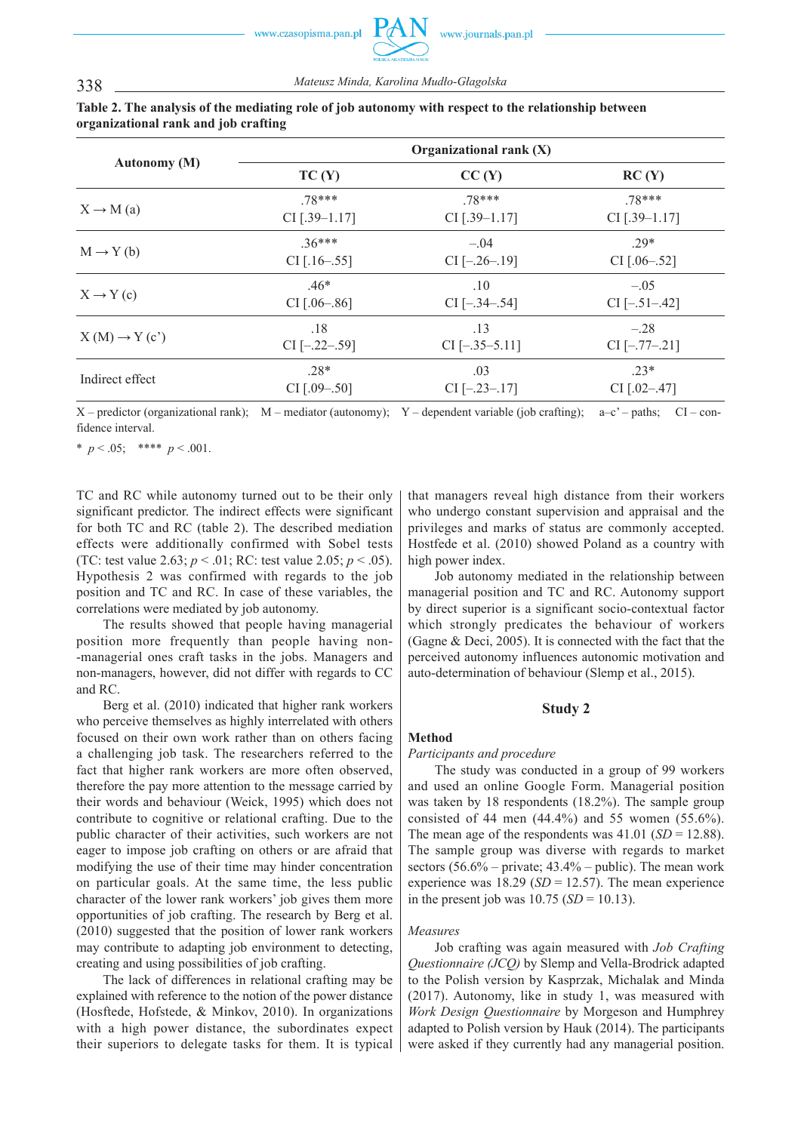#### **Autonomy (M) Organizational rank (X)**  $TC(Y)$   $CC(Y)$   $RC(Y)$  $X \to M$  (a) .78\*\*\* CI [.39–1.17] .78\*\*\* CI [.39–1.17] .78\*\*\* CI [.39–1.17]  $M \to Y(b)$  .36\*\*\* CI [.16–.55]  $-04$ CI [–.26–.19] .29\* CI [.06–.52]  $X \rightarrow Y(c)$  .46\* CI [.06–.86] .10 CI [–.34–.54] –.05  $CI$   $[-.51-.42]$  $X(M) \rightarrow Y(c')$  .18  $CI$   $[-.22-.59]$ .13 CI [–.35–5.11] –.28 CI [–.77–.21] Indirect effect .28\* CI [.09–.50] .03 CI [–.23–.17] .23\* CI [.02–.47]

### **Table 2. The analysis of the mediating role of job autonomy with respect to the relationship between organizational rank and job crafting**

X – predictor (organizational rank); M – mediator (autonomy); Y – dependent variable (job crafting); a–c' – paths; CI – confidence interval.

\*  $p < .05$ ; \*\*\*\*  $p < .001$ .

TC and RC while autonomy turned out to be their only significant predictor. The indirect effects were significant for both TC and RC (table 2). The described mediation effects were additionally confirmed with Sobel tests (TC: test value 2.63; *p* < .01; RC: test value 2.05; *p* < .05). Hypothesis 2 was confirmed with regards to the job position and TC and RC. In case of these variables, the correlations were mediated by job autonomy.

The results showed that people having managerial position more frequently than people having non- -managerial ones craft tasks in the jobs. Managers and non-managers, however, did not differ with regards to CC and RC.

Berg et al. (2010) indicated that higher rank workers who perceive themselves as highly interrelated with others focused on their own work rather than on others facing a challenging job task. The researchers referred to the fact that higher rank workers are more often observed, therefore the pay more attention to the message carried by their words and behaviour (Weick, 1995) which does not contribute to cognitive or relational crafting. Due to the public character of their activities, such workers are not eager to impose job crafting on others or are afraid that modifying the use of their time may hinder concentration on particular goals. At the same time, the less public character of the lower rank workers' job gives them more opportunities of job crafting. The research by Berg et al. (2010) suggested that the position of lower rank workers may contribute to adapting job environment to detecting. creating and using possibilities of job crafting.

The lack of differences in relational crafting may be explained with reference to the notion of the power distance (Hosftede, Hofstede, & Minkov, 2010). In organizations with a high power distance, the subordinates expect their superiors to delegate tasks for them. It is typical

that managers reveal high distance from their workers who undergo constant supervision and appraisal and the privileges and marks of status are commonly accepted. Hostfede et al. (2010) showed Poland as a country with high power index.

Job autonomy mediated in the relationship between managerial position and TC and RC. Autonomy support by direct superior is a significant socio-contextual factor which strongly predicates the behaviour of workers (Gagne & Deci, 2005). It is connected with the fact that the perceived autonomy influences autonomic motivation and auto-determination of behaviour (Slemp et al., 2015).

### **Study 2**

### **Method**

#### *Participants and procedure*

The study was conducted in a group of 99 workers and used an online Google Form. Managerial position was taken by 18 respondents (18.2%). The sample group consisted of 44 men (44.4%) and 55 women (55.6%). The mean age of the respondents was  $41.01$  (*SD* = 12.88). The sample group was diverse with regards to market sectors  $(56.6\% - \text{private}; 43.4\% - \text{public})$ . The mean work experience was  $18.29$  (*SD* = 12.57). The mean experience in the present job was  $10.75$  (*SD* = 10.13).

#### *Measures*

Job crafting was again measured with *Job Crafting Questionnaire (JCQ)* by Slemp and Vella-Brodrick adapted to the Polish version by Kasprzak, Michalak and Minda (2017). Autonomy, like in study 1, was measured with *Work Design Questionnaire* by Morgeson and Humphrey adapted to Polish version by Hauk (2014). The participants were asked if they currently had any managerial position.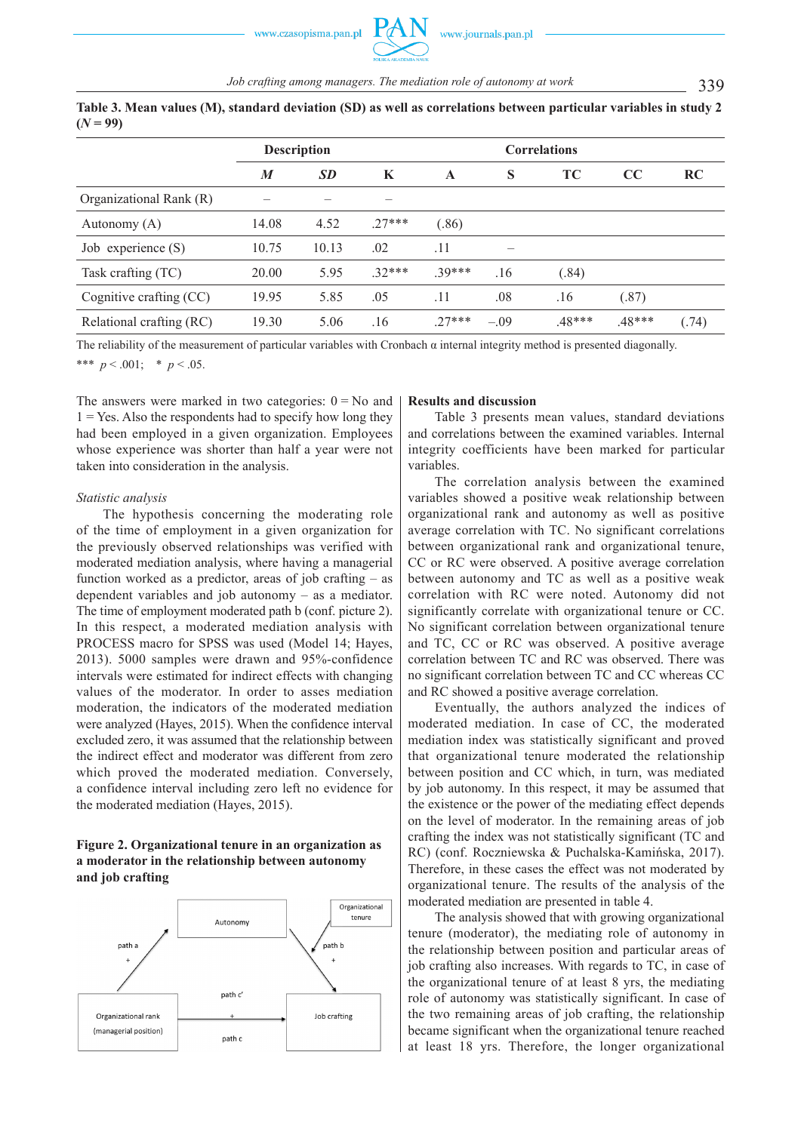|                          | <b>Description</b> |           |         |          |        |        |          |           |
|--------------------------|--------------------|-----------|---------|----------|--------|--------|----------|-----------|
|                          | M                  | <b>SD</b> | K       | A        | S      | TC     | CC       | <b>RC</b> |
| Organizational Rank (R)  |                    |           |         |          |        |        |          |           |
| Autonomy (A)             | 14.08              | 4.52      | $27***$ | (.86)    |        |        |          |           |
| Job experience $(S)$     | 10.75              | 10.13     | .02     | .11      |        |        |          |           |
| Task crafting (TC)       | 20.00              | 5.95      | $32***$ | 39***    | .16    | (.84)  |          |           |
| Cognitive crafting (CC)  | 19.95              | 5.85      | .05     | .11      | .08    | .16    | (.87)    |           |
| Relational crafting (RC) | 19.30              | 5.06      | .16     | $.27***$ | $-.09$ | .48*** | $.48***$ | (.74)     |

**Table 3. Mean values (M), standard deviation (SD) as well as correlations between particular variables in study 2**   $(N = 99)$ 

The reliability of the measurement of particular variables with Cronbach  $\alpha$  internal integrity method is presented diagonally.

\*\*\*  $p < .001$ ; \*  $p < .05$ .

The answers were marked in two categories:  $0 = No$  and  $1 = Yes$ . Also the respondents had to specify how long they had been employed in a given organization. Employees whose experience was shorter than half a year were not taken into consideration in the analysis.

### *Statistic analysis*

The hypothesis concerning the moderating role of the time of employment in a given organization for the previously observed relationships was verified with moderated mediation analysis, where having a managerial function worked as a predictor, areas of job crafting – as dependent variables and job autonomy – as a mediator. The time of employment moderated path b (conf. picture 2). In this respect, a moderated mediation analysis with PROCESS macro for SPSS was used (Model 14; Hayes, 2013). 5000 samples were drawn and 95%-confidence intervals were estimated for indirect effects with changing values of the moderator. In order to asses mediation moderation, the indicators of the moderated mediation were analyzed (Hayes, 2015). When the confidence interval excluded zero, it was assumed that the relationship between the indirect effect and moderator was different from zero which proved the moderated mediation. Conversely, a confidence interval including zero left no evidence for the moderated mediation (Hayes, 2015).

### **Figure 2. Organizational tenure in an organization as a moderator in the relationship between autonomy and job crafting**



#### **Results and discussion**

Table 3 presents mean values, standard deviations and correlations between the examined variables. Internal integrity coefficients have been marked for particular variables.

The correlation analysis between the examined variables showed a positive weak relationship between organizational rank and autonomy as well as positive average correlation with TC. No significant correlations between organizational rank and organizational tenure, CC or RC were observed. A positive average correlation between autonomy and TC as well as a positive weak correlation with RC were noted. Autonomy did not significantly correlate with organizational tenure or CC. No significant correlation between organizational tenure and TC, CC or RC was observed. A positive average correlation between TC and RC was observed. There was no significant correlation between TC and CC whereas CC and RC showed a positive average correlation.

Eventually, the authors analyzed the indices of moderated mediation. In case of CC, the moderated mediation index was statistically significant and proved that organizational tenure moderated the relationship between position and CC which, in turn, was mediated by job autonomy. In this respect, it may be assumed that the existence or the power of the mediating effect depends on the level of moderator. In the remaining areas of job crafting the index was not statistically significant (TC and RC) (conf. Roczniewska & Puchalska-Kamińska, 2017). Therefore, in these cases the effect was not moderated by organizational tenure. The results of the analysis of the moderated mediation are presented in table 4.

The analysis showed that with growing organizational tenure (moderator), the mediating role of autonomy in the relationship between position and particular areas of job crafting also increases. With regards to TC, in case of the organizational tenure of at least 8 yrs, the mediating role of autonomy was statistically significant. In case of the two remaining areas of job crafting, the relationship became significant when the organizational tenure reached at least 18 yrs. Therefore, the longer organizational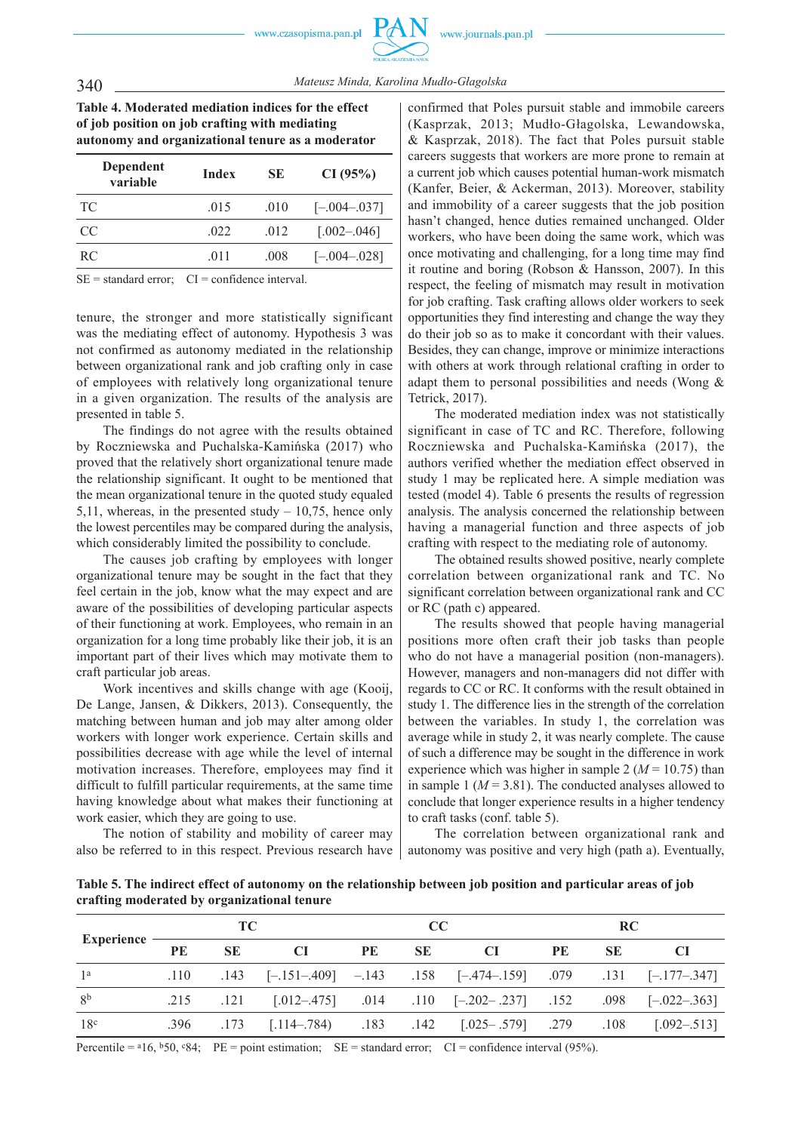**Table 4. Moderated mediation indices for the effect of job position on job crafting with mediating autonomy and organizational tenure as a moderator**

| Dependent<br>variable | Index | <b>SE</b> | CI(95%)           |
|-----------------------|-------|-----------|-------------------|
| TC.                   | .015  | .010      | $[-.004 - .037]$  |
| CC                    | .022  | .012      | $[.002-.046]$     |
| RC.                   | .011  | .008      | $[-0.04 - 0.028]$ |

 $SE = standard error$ ;  $CI = confidence interval$ .

tenure, the stronger and more statistically significant was the mediating effect of autonomy. Hypothesis 3 was not confirmed as autonomy mediated in the relationship between organizational rank and job crafting only in case of employees with relatively long organizational tenure in a given organization. The results of the analysis are presented in table 5.

The findings do not agree with the results obtained by Roczniewska and Puchalska-Kamińska (2017) who proved that the relatively short organizational tenure made the relationship significant. It ought to be mentioned that the mean organizational tenure in the quoted study equaled 5,11, whereas, in the presented study – 10,75, hence only the lowest percentiles may be compared during the analysis, which considerably limited the possibility to conclude.

The causes job crafting by employees with longer organizational tenure may be sought in the fact that they feel certain in the job, know what the may expect and are aware of the possibilities of developing particular aspects of their functioning at work. Employees, who remain in an organization for a long time probably like their job, it is an important part of their lives which may motivate them to craft particular job areas.

Work incentives and skills change with age (Kooij, De Lange, Jansen, & Dikkers, 2013). Consequently, the matching between human and job may alter among older workers with longer work experience. Certain skills and possibilities decrease with age while the level of internal motivation increases. Therefore, employees may find it difficult to fulfill particular requirements, at the same time having knowledge about what makes their functioning at work easier, which they are going to use.

The notion of stability and mobility of career may also be referred to in this respect. Previous research have

confirmed that Poles pursuit stable and immobile careers (Kasprzak, 2013; Mudło-Głagolska, Lewandowska, & Kasprzak, 2018). The fact that Poles pursuit stable careers suggests that workers are more prone to remain at a current job which causes potential human-work mismatch (Kanfer, Beier, & Ackerman, 2013). Moreover, stability and immobility of a career suggests that the job position hasn't changed, hence duties remained unchanged. Older workers, who have been doing the same work, which was once motivating and challenging, for a long time may find it routine and boring (Robson & Hansson, 2007). In this respect, the feeling of mismatch may result in motivation for job crafting. Task crafting allows older workers to seek opportunities they find interesting and change the way they do their job so as to make it concordant with their values. Besides, they can change, improve or minimize interactions with others at work through relational crafting in order to adapt them to personal possibilities and needs (Wong & Tetrick, 2017).

The moderated mediation index was not statistically significant in case of TC and RC. Therefore, following Roczniewska and Puchalska-Kamińska (2017), the authors verified whether the mediation effect observed in study 1 may be replicated here. A simple mediation was tested (model 4). Table 6 presents the results of regression analysis. The analysis concerned the relationship between having a managerial function and three aspects of job crafting with respect to the mediating role of autonomy.

The obtained results showed positive, nearly complete correlation between organizational rank and TC. No significant correlation between organizational rank and CC or RC (path c) appeared.

The results showed that people having managerial positions more often craft their job tasks than people who do not have a managerial position (non-managers). However, managers and non-managers did not differ with regards to CC or RC. It conforms with the result obtained in study 1. The difference lies in the strength of the correlation between the variables. In study 1, the correlation was average while in study 2, it was nearly complete. The cause of such a difference may be sought in the difference in work experience which was higher in sample 2 ( $M = 10.75$ ) than in sample 1 ( $M = 3.81$ ). The conducted analyses allowed to conclude that longer experience results in a higher tendency to craft tasks (conf. table 5).

The correlation between organizational rank and autonomy was positive and very high (path a). Eventually,

**Table 5. The indirect effect of autonomy on the relationship between job position and particular areas of job crafting moderated by organizational tenure**

|                   | TC - |           |      | cc |      |                                                                                         | <b>RC</b> |           |     |
|-------------------|------|-----------|------|----|------|-----------------------------------------------------------------------------------------|-----------|-----------|-----|
| <b>Experience</b> | PE   | <b>SE</b> | - CI | PE | - SE | – CI                                                                                    | PE        | <b>SE</b> | -CI |
| 1 <sup>a</sup>    |      |           |      |    |      | $.110$ $.143$ $[-.151-.409]$ $-.143$ $.158$ $[-.474-.159]$ $.079$ $.131$ $[-.177-.347]$ |           |           |     |
| 8 <sup>b</sup>    |      |           |      |    |      | .121 [.012-.475] .014 .110 [-.202-.237] .152 .098 [-.022-.363]                          |           |           |     |
| 18 <sup>c</sup>   |      |           |      |    |      | .396 .173 [.114-.784) .183 .142 [.025-.579] .279 .108 [.092-.513]                       |           |           |     |

Percentile =  $^{a}16$ ,  $^{b}50$ ,  $^{c}84$ ; PE = point estimation; SE = standard error; CI = confidence interval (95%).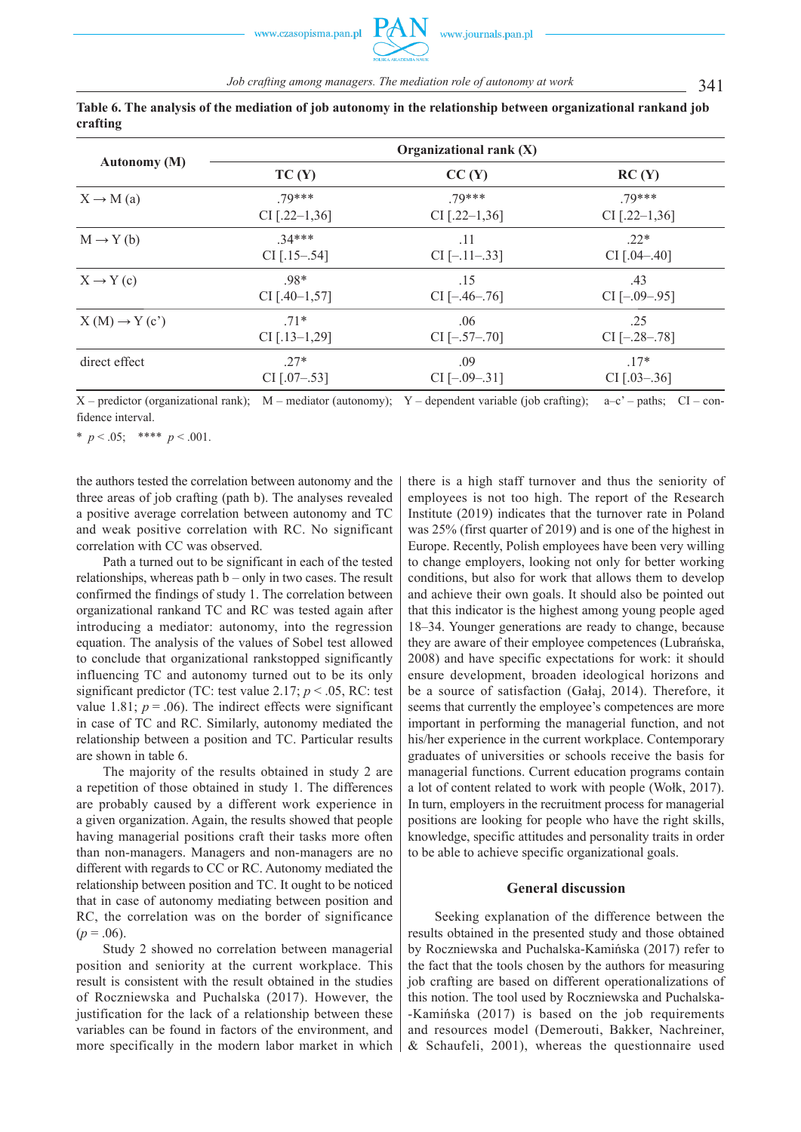|                          | Organizational rank (X) |                     |                     |  |  |  |  |  |
|--------------------------|-------------------------|---------------------|---------------------|--|--|--|--|--|
| <b>Autonomy (M)</b>      | TC(Y)                   | CC(Y)               | RC(Y)               |  |  |  |  |  |
| $X \rightarrow M$ (a)    | 79***                   | 79***               | 79***               |  |  |  |  |  |
|                          | $CI$ [.22-1,36]         | CI $[.22-1,36]$     | $CI$ [.22–1,36]     |  |  |  |  |  |
| $M \rightarrow Y(b)$     | $34***$                 | .11                 | $22*$               |  |  |  |  |  |
|                          | $CI$ [.15–.54]          | $CI[-.11-.33]$      | $CI$ [.04-.40]      |  |  |  |  |  |
| $X \rightarrow Y(c)$     | $.98*$                  | .15                 | .43                 |  |  |  |  |  |
|                          | CI $[.40-1,57]$         | $CI$ [ $-.46-.76$ ] | $CI$ [ $-.09-.95$ ] |  |  |  |  |  |
| $X(M) \rightarrow Y(c')$ | $.71*$                  | .06                 | .25                 |  |  |  |  |  |
|                          | $CI$ [.13-1,29]         | $CI$ $[-.57-.70]$   | $CI[-.28-.78]$      |  |  |  |  |  |
| direct effect            | $.27*$                  | .09                 | $17*$               |  |  |  |  |  |
|                          | $CI$ [.07-.53]          | $CI$ [ $-.09-.31$ ] | $CI$ [.03–.36]      |  |  |  |  |  |

**Table 6. The analysis of the mediation of job autonomy in the relationship between organizational rankand job crafting** 

 $X$  – predictor (organizational rank); M – mediator (autonomy); Y – dependent variable (job crafting); a–c' – paths; CI – confidence interval.

\*  $p < .05$ ; \*\*\*\*  $p < .001$ .

the authors tested the correlation between autonomy and the three areas of job crafting (path b). The analyses revealed a positive average correlation between autonomy and TC and weak positive correlation with RC. No significant correlation with CC was observed.

Path a turned out to be significant in each of the tested relationships, whereas path b – only in two cases. The result confirmed the findings of study 1. The correlation between organizational rankand TC and RC was tested again after introducing a mediator: autonomy, into the regression equation. The analysis of the values of Sobel test allowed to conclude that organizational rankstopped significantly influencing TC and autonomy turned out to be its only significant predictor (TC: test value 2.17; *p* < .05, RC: test value 1.81;  $p = .06$ ). The indirect effects were significant in case of TC and RC. Similarly, autonomy mediated the relationship between a position and TC. Particular results are shown in table 6.

The majority of the results obtained in study 2 are a repetition of those obtained in study 1. The differences are probably caused by a different work experience in a given organization. Again, the results showed that people having managerial positions craft their tasks more often than non-managers. Managers and non-managers are no different with regards to CC or RC. Autonomy mediated the relationship between position and TC. It ought to be noticed that in case of autonomy mediating between position and RC, the correlation was on the border of significance  $(p=.06)$ .

Study 2 showed no correlation between managerial position and seniority at the current workplace. This result is consistent with the result obtained in the studies of Roczniewska and Puchalska (2017). However, the justification for the lack of a relationship between these variables can be found in factors of the environment, and more specifically in the modern labor market in which

there is a high staff turnover and thus the seniority of employees is not too high. The report of the Research Institute (2019) indicates that the turnover rate in Poland was 25% (first quarter of 2019) and is one of the highest in Europe. Recently, Polish employees have been very willing to change employers, looking not only for better working conditions, but also for work that allows them to develop and achieve their own goals. It should also be pointed out that this indicator is the highest among young people aged 18–34. Younger generations are ready to change, because they are aware of their employee competences (Lubrańska, 2008) and have specific expectations for work: it should ensure development, broaden ideological horizons and be a source of satisfaction (Gałaj, 2014). Therefore, it seems that currently the employee's competences are more important in performing the managerial function, and not his/her experience in the current workplace. Contemporary graduates of universities or schools receive the basis for managerial functions. Current education programs contain a lot of content related to work with people (Wołk, 2017). In turn, employers in the recruitment process for managerial positions are looking for people who have the right skills, knowledge, specific attitudes and personality traits in order to be able to achieve specific organizational goals.

### **General discussion**

Seeking explanation of the difference between the results obtained in the presented study and those obtained by Roczniewska and Puchalska-Kamińska (2017) refer to the fact that the tools chosen by the authors for measuring job crafting are based on different operationalizations of this notion. The tool used by Roczniewska and Puchalska- -Kamińska (2017) is based on the job requirements and resources model (Demerouti, Bakker, Nachreiner, & Schaufeli, 2001), whereas the questionnaire used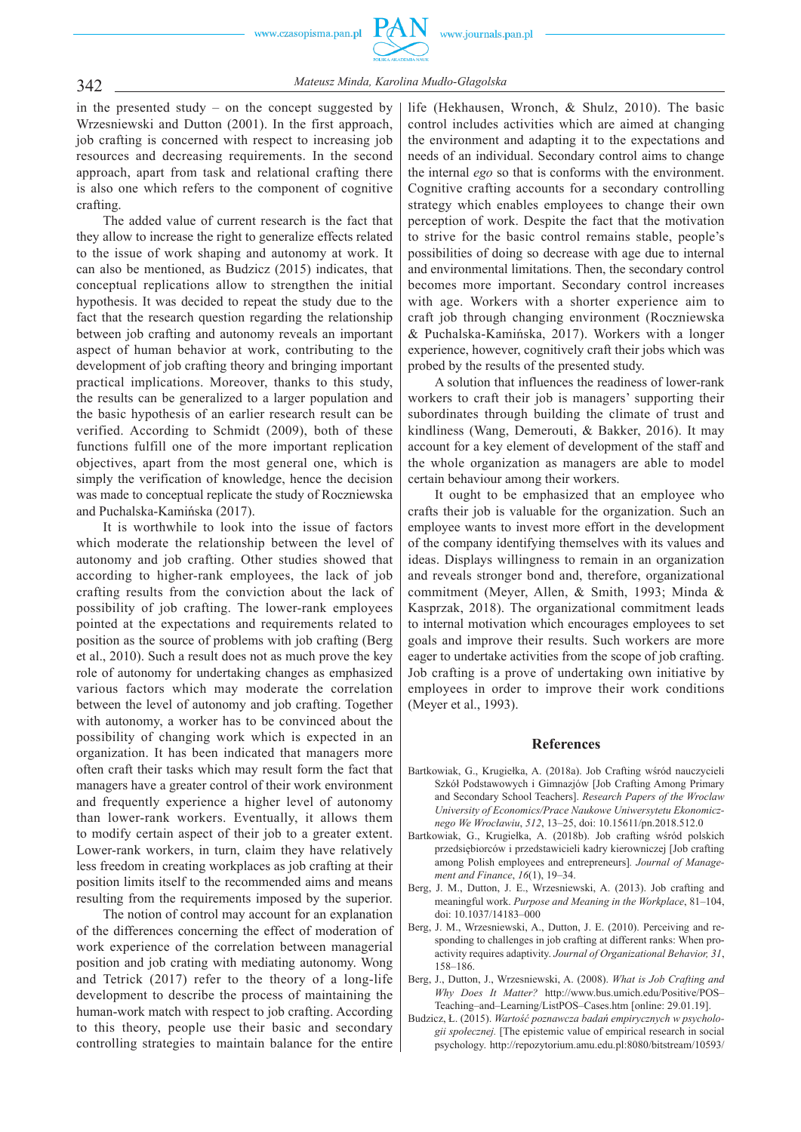

342 *Mateusz Minda, Karolina Mudło-Głagolska*

in the presented study – on the concept suggested by Wrzesniewski and Dutton (2001). In the first approach, job crafting is concerned with respect to increasing job resources and decreasing requirements. In the second approach, apart from task and relational crafting there is also one which refers to the component of cognitive crafting.

The added value of current research is the fact that they allow to increase the right to generalize effects related to the issue of work shaping and autonomy at work. It can also be mentioned, as Budzicz (2015) indicates, that conceptual replications allow to strengthen the initial hypothesis. It was decided to repeat the study due to the fact that the research question regarding the relationship between job crafting and autonomy reveals an important aspect of human behavior at work, contributing to the development of job crafting theory and bringing important practical implications. Moreover, thanks to this study, the results can be generalized to a larger population and the basic hypothesis of an earlier research result can be verified. According to Schmidt (2009), both of these functions fulfill one of the more important replication objectives, apart from the most general one, which is simply the verification of knowledge, hence the decision was made to conceptual replicate the study of Roczniewska and Puchalska-Kamińska (2017).

It is worthwhile to look into the issue of factors which moderate the relationship between the level of autonomy and job crafting. Other studies showed that according to higher-rank employees, the lack of job crafting results from the conviction about the lack of possibility of job crafting. The lower-rank employees pointed at the expectations and requirements related to position as the source of problems with job crafting (Berg et al., 2010). Such a result does not as much prove the key role of autonomy for undertaking changes as emphasized various factors which may moderate the correlation between the level of autonomy and job crafting. Together with autonomy, a worker has to be convinced about the possibility of changing work which is expected in an organization. It has been indicated that managers more often craft their tasks which may result form the fact that managers have a greater control of their work environment and frequently experience a higher level of autonomy than lower-rank workers. Eventually, it allows them to modify certain aspect of their job to a greater extent. Lower-rank workers, in turn, claim they have relatively less freedom in creating workplaces as job crafting at their position limits itself to the recommended aims and means resulting from the requirements imposed by the superior.

The notion of control may account for an explanation of the differences concerning the effect of moderation of work experience of the correlation between managerial position and job crating with mediating autonomy. Wong and Tetrick (2017) refer to the theory of a long-life development to describe the process of maintaining the human-work match with respect to job crafting. According to this theory, people use their basic and secondary controlling strategies to maintain balance for the entire life (Hekhausen, Wronch, & Shulz, 2010). The basic control includes activities which are aimed at changing the environment and adapting it to the expectations and needs of an individual. Secondary control aims to change the internal *ego* so that is conforms with the environment. Cognitive crafting accounts for a secondary controlling strategy which enables employees to change their own perception of work. Despite the fact that the motivation to strive for the basic control remains stable, people's possibilities of doing so decrease with age due to internal and environmental limitations. Then, the secondary control becomes more important. Secondary control increases with age. Workers with a shorter experience aim to craft job through changing environment (Roczniewska & Puchalska-Kamińska, 2017). Workers with a longer experience, however, cognitively craft their jobs which was probed by the results of the presented study.

A solution that influences the readiness of lower-rank workers to craft their job is managers' supporting their subordinates through building the climate of trust and kindliness (Wang, Demerouti, & Bakker, 2016). It may account for a key element of development of the staff and the whole organization as managers are able to model certain behaviour among their workers.

It ought to be emphasized that an employee who crafts their job is valuable for the organization. Such an employee wants to invest more effort in the development of the company identifying themselves with its values and ideas. Displays willingness to remain in an organization and reveals stronger bond and, therefore, organizational commitment (Meyer, Allen, & Smith, 1993; Minda & Kasprzak, 2018). The organizational commitment leads to internal motivation which encourages employees to set goals and improve their results. Such workers are more eager to undertake activities from the scope of job crafting. Job crafting is a prove of undertaking own initiative by employees in order to improve their work conditions (Meyer et al., 1993).

#### **References**

- Bartkowiak, G., Krugiełka, A. (2018a). Job Crafting wśród nauczycieli Szkół Podstawowych i Gimnazjów [Job Crafting Among Primary and Secondary School Teachers]. *Research Papers of the Wroclaw University of Economics/Prace Naukowe Uniwersytetu Ekonomicznego We Wrocławiu*, *512*, 13–25, doi: 10.15611/pn.2018.512.0
- Bartkowiak, G., Krugiełka, A. (2018b). Job crafting wśród polskich przedsiębiorców i przedstawicieli kadry kierowniczej [Job crafting among Polish employees and entrepreneurs]*. Journal of Management and Finance*, *16*(1), 19–34.
- Berg, J. M., Dutton, J. E., Wrzesniewski, A. (2013). Job crafting and meaningful work. *Purpose and Meaning in the Workplace*, 81–104, doi: 10.1037/14183–000
- Berg, J. M., Wrzesniewski, A., Dutton, J. E. (2010). Perceiving and responding to challenges in job crafting at different ranks: When proactivity requires adaptivity. *Journal of Organizational Behavior, 31*, 158–186.
- Berg, J., Dutton, J., Wrzesniewski, A. (2008). *What is Job Crafting and Why Does It Matter?* http://www.bus.umich.edu/Positive/POS– Teaching–and–Learning/ListPOS–Cases.htm [online: 29.01.19].
- Budzicz, Ł. (2015). *Wartość poznawcza badań empirycznych w psychologii społecznej.* [The epistemic value of empirical research in social psychology. http://repozytorium.amu.edu.pl:8080/bitstream/10593/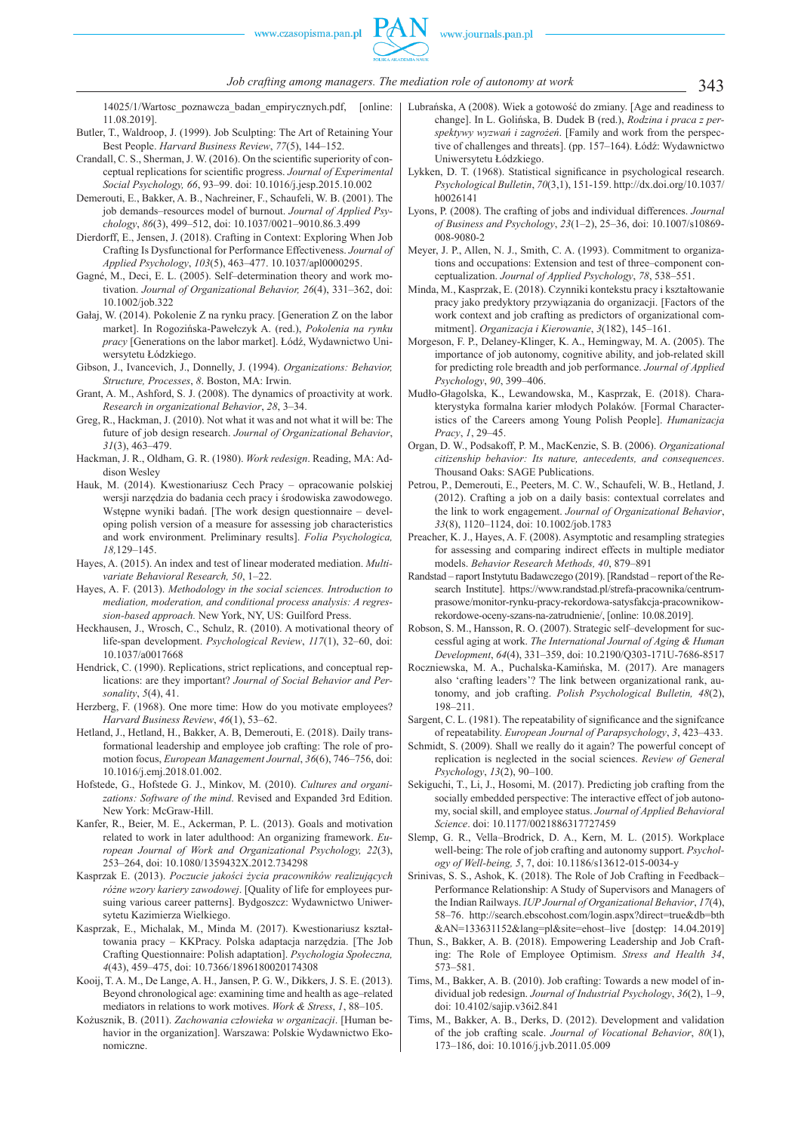14025/1/Wartosc\_poznawcza\_badan\_empirycznych.pdf, [online: 11.08.2019].

- Butler, T., Waldroop, J. (1999). Job Sculpting: The Art of Retaining Your Best People. *Harvard Business Review*, *77*(5), 144–152.
- Crandall, C. S., Sherman, J. W. (2016). On the scientific superiority of conceptual replications for scientific progress. *Journal of Experimental Social Psychology, 66*, 93–99. doi: 10.1016/j.jesp.2015.10.002
- Demerouti, E., Bakker, A. B., Nachreiner, F., Schaufeli, W. B. (2001). The job demands–resources model of burnout. *Journal of Applied Psychology*, *86*(3), 499–512, doi: 10.1037/0021–9010.86.3.499
- Dierdorff, E., Jensen, J. (2018). Crafting in Context: Exploring When Job Crafting Is Dysfunctional for Performance Effectiveness. *Journal of Applied Psychology*, *103*(5), 463–477. 10.1037/apl0000295.
- Gagné, M., Deci, E. L. (2005). Self–determination theory and work motivation. *Journal of Organizational Behavior, 26*(4), 331–362, doi: 10.1002/job.322
- Gałaj, W. (2014). Pokolenie Z na rynku pracy. [Generation Z on the labor market]. In Rogozińska-Pawełczyk A. (red.), *Pokolenia na rynku pracy* [Generations on the labor market]. Łódź, Wydawnictwo Uniwersytetu Łódzkiego.
- Gibson, J., Ivancevich, J., Donnelly, J. (1994). *Organizations: Behavior, Structure, Processes*, *8*. Boston, MA: Irwin.
- Grant, A. M., Ashford, S. J. (2008). The dynamics of proactivity at work. *Research in organizational Behavior*, *28*, 3–34.
- Greg, R., Hackman, J. (2010). Not what it was and not what it will be: The future of job design research. *Journal of Organizational Behavior*, *31*(3), 463–479.
- Hackman, J. R., Oldham, G. R. (1980). *Work redesign*. Reading, MA: Addison Wesley
- Hauk, M. (2014). Kwestionariusz Cech Pracy opracowanie polskiej wersji narzędzia do badania cech pracy i środowiska zawodowego. Wstępne wyniki badań. [The work design questionnaire – developing polish version of a measure for assessing job characteristics and work environment. Preliminary results]. *Folia Psychologica, 18,*129–145.
- Hayes, A. (2015). An index and test of linear moderated mediation. *Multivariate Behavioral Research, 50*, 1–22.
- Hayes, A. F. (2013). *Methodology in the social sciences. Introduction to mediation, moderation, and conditional process analysis: A regression-based approach.* New York, NY, US: Guilford Press.
- Heckhausen, J., Wrosch, C., Schulz, R. (2010). A motivational theory of life-span development. *Psychological Review*, *117*(1), 32–60, doi: 10.1037/a0017668
- Hendrick, C. (1990). Replications, strict replications, and conceptual replications: are they important? *Journal of Social Behavior and Personality*, *5*(4), 41.
- Herzberg, F. (1968). One more time: How do you motivate employees? *Harvard Business Review*, *46*(1), 53–62.
- Hetland, J., Hetland, H., Bakker, A. B, Demerouti, E. (2018). Daily transformational leadership and employee job crafting: The role of promotion focus, *European Management Journal*, *36*(6), 746–756, doi: 10.1016/j.emj.2018.01.002.
- Hofstede, G., Hofstede G. J., Minkov, M. (2010). *Cultures and organizations: Software of the mind*. Revised and Expanded 3rd Edition. New York: McGraw-Hill.
- Kanfer, R., Beier, M. E., Ackerman, P. L. (2013). Goals and motivation related to work in later adulthood: An organizing framework. *European Journal of Work and Organizational Psychology, 22*(3), 253–264, doi: 10.1080/1359432X.2012.734298
- Kasprzak E. (2013). *Poczucie jakości życia pracowników realizujących różne wzory kariery zawodowej*. [Quality of life for employees pursuing various career patterns]. Bydgoszcz: Wydawnictwo Uniwersytetu Kazimierza Wielkiego.
- Kasprzak, E., Michalak, M., Minda M. (2017). Kwestionariusz kształtowania pracy – KKPracy. Polska adaptacja narzędzia. [The Job Crafting Questionnaire: Polish adaptation]. *Psychologia Społeczna, 4*(43), 459–475, doi: 10.7366/1896180020174308
- Kooij, T. A. M., De Lange, A. H., Jansen, P. G. W., Dikkers, J. S. E. (2013). Beyond chronological age: examining time and health as age–related mediators in relations to work motives. *Work & Stress*, *1*, 88–105.
- Kożusznik, B. (2011). *Zachowania człowieka w organizacji*. [Human behavior in the organization]. Warszawa: Polskie Wydawnictwo Ekonomiczne.
- Lubrańska, A (2008). Wiek a gotowość do zmiany. [Age and readiness to change]. In L. Golińska, B. Dudek B (red.), *Rodzina i praca z perspektywy wyzwań i zagrożeń*. [Family and work from the perspective of challenges and threats]. (pp. 157–164). Łódź: Wydawnictwo Uniwersytetu Łódzkiego.
- Lykken, D. T. (1968). Statistical significance in psychological research. *Psychological Bulletin*, *70*(3,1), 151-159. http://dx.doi.org/10.1037/ h0026141
- Lyons, P. (2008). The crafting of jobs and individual differences. *Journal of Business and Psychology*, *23*(1–2), 25–36, doi: 10.1007/s10869- 008-9080-2
- Meyer, J. P., Allen, N. J., Smith, C. A. (1993). Commitment to organizations and occupations: Extension and test of three–component conceptualization. *Journal of Applied Psychology*, *78*, 538–551.
- Minda, M., Kasprzak, E. (2018). Czynniki kontekstu pracy i kształtowanie pracy jako predyktory przywiązania do organizacji. [Factors of the work context and job crafting as predictors of organizational commitment]. *Organizacja i Kierowanie*, *3*(182), 145–161.
- Morgeson, F. P., Delaney-Klinger, K. A., Hemingway, M. A. (2005). The importance of job autonomy, cognitive ability, and job-related skill for predicting role breadth and job performance. *Journal of Applied Psychology*, *90*, 399–406.
- Mudło-Głagolska, K., Lewandowska, M., Kasprzak, E. (2018). Charakterystyka formalna karier młodych Polaków. [Formal Characteristics of the Careers among Young Polish People]. *Humanizacja Pracy*, *1*, 29–45.
- Organ, D. W., Podsakoff, P. M., MacKenzie, S. B. (2006). *Organizational citizenship behavior: Its nature, antecedents, and consequences*. Thousand Oaks: SAGE Publications.
- Petrou, P., Demerouti, E., Peeters, M. C. W., Schaufeli, W. B., Hetland, J. (2012). Crafting a job on a daily basis: contextual correlates and the link to work engagement. *Journal of Organizational Behavior*, *33*(8), 1120–1124, doi: 10.1002/job.1783
- Preacher, K. J., Hayes, A. F. (2008). Asymptotic and resampling strategies for assessing and comparing indirect effects in multiple mediator models. *Behavior Research Methods, 40*, 879–891
- Randstad raport Instytutu Badawczego (2019). [Randstad report of the Research Institute]. https://www.randstad.pl/strefa-pracownika/centrumprasowe/monitor-rynku-pracy-rekordowa-satysfakcja-pracownikowrekordowe-oceny-szans-na-zatrudnienie/, [online: 10.08.2019].
- Robson, S. M., Hansson, R. O. (2007). Strategic self–development for successful aging at work. *The International Journal of Aging & Human Development*, *64*(4), 331–359, doi: 10.2190/Q303-171U-7686-8517
- Roczniewska, M. A., Puchalska-Kamińska, M. (2017). Are managers also 'crafting leaders'? The link between organizational rank, autonomy, and job crafting. *Polish Psychological Bulletin, 48*(2), 198–211.
- Sargent, C. L. (1981). The repeatability of significance and the signifcance of repeatability. *European Journal of Parapsychology*, *3*, 423–433.
- Schmidt, S. (2009). Shall we really do it again? The powerful concept of replication is neglected in the social sciences. *Review of General Psychology*, *13*(2), 90–100.
- Sekiguchi, T., Li, J., Hosomi, M. (2017). Predicting job crafting from the socially embedded perspective: The interactive effect of job autonomy, social skill, and employee status. *Journal of Applied Behavioral Science*. doi: 10.1177/0021886317727459
- Slemp, G. R., Vella–Brodrick, D. A., Kern, M. L. (2015). Workplace well-being: The role of job crafting and autonomy support. *Psychology of Well-being, 5*, 7, doi: 10.1186/s13612-015-0034-y
- Srinivas, S. S., Ashok, K. (2018). The Role of Job Crafting in Feedback– Performance Relationship: A Study of Supervisors and Managers of the Indian Railways. *IUP Journal of Organizational Behavior*, *17*(4), 58–76. http://search.ebscohost.com/login.aspx?direct=true&db=bth &AN=133631152&lang=pl&site=ehost–live [dostęp: 14.04.2019]
- Thun, S., Bakker, A. B. (2018). Empowering Leadership and Job Crafting: The Role of Employee Optimism. *Stress and Health 34*, 573–581.
- Tims, M., Bakker, A. B. (2010). Job crafting: Towards a new model of individual job redesign. *Journal of Industrial Psychology*, *36*(2), 1–9, doi: 10.4102/sajip.v36i2.841
- Tims, M., Bakker, A. B., Derks, D. (2012). Development and validation of the job crafting scale. *Journal of Vocational Behavior*, *80*(1), 173–186, doi: 10.1016/j.jvb.2011.05.009